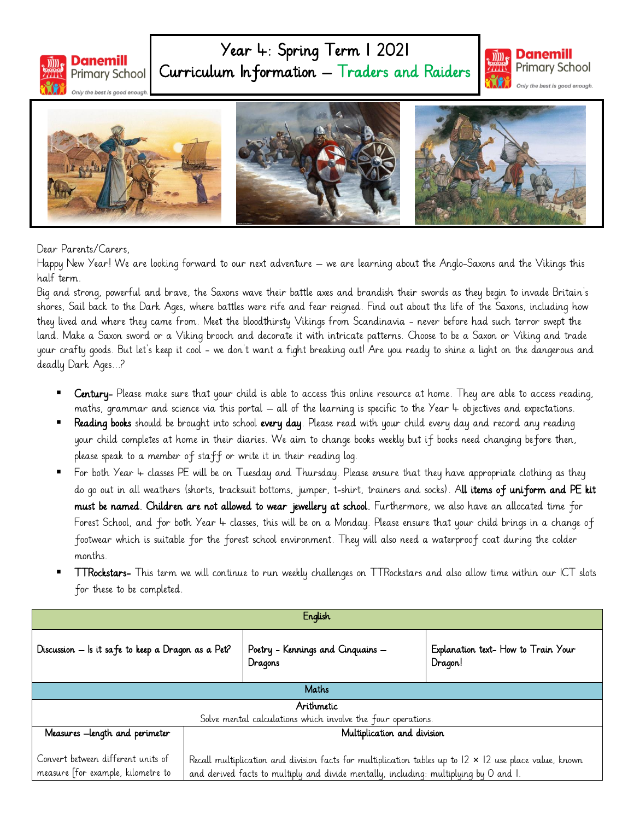

## Year 4: Spring Term 1 2021 Curriculum Information – Traders and Raiders





Dear Parents/Carers,

Happy New Year! We are looking forward to our next adventure – we are learning about the Anglo-Saxons and the Vikings this half term.

Big and strong, powerful and brave, the Saxons wave their battle axes and brandish their swords as they begin to invade Britain's shores, Sail back to the Dark Ages, where battles were rife and fear reigned. Find out about the life of the Saxons, including how they lived and where they came from. Meet the bloodthirsty Vikings from Scandinavia - never before had such terror swept the land. Make a Saxon sword or a Viking brooch and decorate it with intricate patterns. Choose to be a Saxon or Viking and trade your crafty goods. But let's keep it cool - we don't want a fight breaking out! Are you ready to shine a light on the dangerous and deadly Dark Ages...?

- Century- Please make sure that your child is able to access this online resource at home. They are able to access reading, maths, grammar and science via this portal – all of the learning is specific to the Year  $4$  objectives and expectations.
- Reading books should be brought into school every day. Please read with your child every day and record any reading your child completes at home in their diaries. We aim to change books weekly but if books need changing before then, please speak to a member of staff or write it in their reading log.
- For both Year 4 classes PE will be on Tuesday and Thursday. Please ensure that they have appropriate clothing as they do go out in all weathers (shorts, tracksuit bottoms, jumper, t-shirt, trainers and socks). All items of uniform and PE kit must be named. Children are not allowed to wear jewellery at school. Furthermore, we also have an allocated time for Forest School, and for both Year 4 classes, this will be on a Monday. Please ensure that your child brings in a change of footwear which is suitable for the forest school environment. They will also need a waterproof coat during the colder months.
- TTRockstars- This term we will continue to run weekly challenges on TTRockstars and also allow time within our ICT slots for these to be completed.

| English                                                                  |                                                                                                                                                                                                         |                                              |                                                |  |
|--------------------------------------------------------------------------|---------------------------------------------------------------------------------------------------------------------------------------------------------------------------------------------------------|----------------------------------------------|------------------------------------------------|--|
| Discussion – Is it safe to keep a Dragon as a Pet?                       |                                                                                                                                                                                                         | Poetry - Kennings and Cinquains -<br>Dragons | Explanation text- How to Train Your<br>Dragon! |  |
| Maths                                                                    |                                                                                                                                                                                                         |                                              |                                                |  |
| Arithmetic                                                               |                                                                                                                                                                                                         |                                              |                                                |  |
| Solve mental calculations which involve the four operations.             |                                                                                                                                                                                                         |                                              |                                                |  |
| Measures -length and perimeter                                           | Multiplication and division                                                                                                                                                                             |                                              |                                                |  |
| Convert between different units of<br>measure [for example, kilometre to | Recall multiplication and division facts for multiplication tables up to $12 \times 12$ use place value, known<br>and derived facts to multiply and divide mentally, including: multiplying by O and I. |                                              |                                                |  |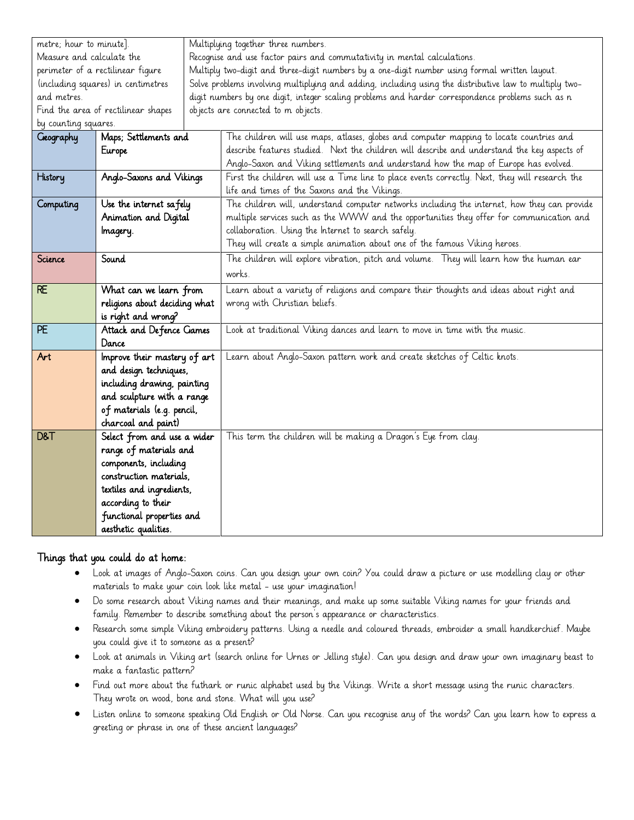| metre; hour to minute].                   |                             |  | Multiplying together three numbers.                                                                    |  |  |
|-------------------------------------------|-----------------------------|--|--------------------------------------------------------------------------------------------------------|--|--|
| Measure and calculate the                 |                             |  | Recognise and use factor pairs and commutativity in mental calculations.                               |  |  |
| perimeter of a rectilinear figure         |                             |  | Multiply two-digit and three-digit numbers by a one-digit number using formal written layout.          |  |  |
| (including squares) in centimetres        |                             |  | Solve problems involving multiplying and adding, including using the distributive law to multiply two- |  |  |
| and metres.                               |                             |  | digit numbers by one digit, integer scaling problems and harder correspondence problems such as n      |  |  |
| Find the area of rectilinear shapes       |                             |  | objects are connected to m objects.                                                                    |  |  |
| by counting squares.                      |                             |  |                                                                                                        |  |  |
| Maps; Settlements and<br><b>Geography</b> |                             |  | The children will use maps, atlases, globes and computer mapping to locate countries and               |  |  |
|                                           | Europe                      |  | describe features studied. Next the children will describe and understand the key aspects of           |  |  |
|                                           |                             |  | Anglo-Saxon and Viking settlements and understand how the map of Europe has evolved.                   |  |  |
| Anglo-Saxons and Vikings<br>History       |                             |  | First the children will use a Time line to place events correctly. Next, they will research the        |  |  |
|                                           |                             |  | life and times of the Saxons and the Vikings.                                                          |  |  |
| Computing                                 | Use the internet safely     |  | The children will, understand computer networks including the internet, how they can provide           |  |  |
|                                           | Animation and Digital       |  | multiple services such as the WWW and the opportunities they offer for communication and               |  |  |
|                                           | Imagery.                    |  | collaboration. Using the Internet to search safely.                                                    |  |  |
|                                           |                             |  | They will create a simple animation about one of the famous Viking heroes.                             |  |  |
| Science                                   | Sound                       |  | The children will explore vibration, pitch and volume. They will learn how the human ear               |  |  |
|                                           |                             |  | works.                                                                                                 |  |  |
| <b>RE</b>                                 | What can we learn from      |  | Learn about a variety of religions and compare their thoughts and ideas about right and                |  |  |
| religions about deciding what             |                             |  | wrong with Christian beliefs.                                                                          |  |  |
| is right and wrong?                       |                             |  |                                                                                                        |  |  |
| PE<br>Attack and Defence Games            |                             |  | Look at traditional Viking dances and learn to move in time with the music.                            |  |  |
|                                           | Dance                       |  |                                                                                                        |  |  |
| Improve their mastery of art<br>Art       |                             |  | Learn about Anglo-Saxon pattern work and create sketches of Celtic knots.                              |  |  |
|                                           | and design techniques,      |  |                                                                                                        |  |  |
|                                           | including drawing, painting |  |                                                                                                        |  |  |
|                                           | and sculpture with a range  |  |                                                                                                        |  |  |
|                                           | of materials (e.g. pencil,  |  |                                                                                                        |  |  |
|                                           | charcoal and paint)         |  |                                                                                                        |  |  |
| D&T                                       | Select from and use a wider |  | This term the children will be making a Dragon's Eye from clay.                                        |  |  |
|                                           | range of materials and      |  |                                                                                                        |  |  |
|                                           | components, including       |  |                                                                                                        |  |  |
|                                           | construction materials.     |  |                                                                                                        |  |  |
|                                           | textiles and ingredients,   |  |                                                                                                        |  |  |
|                                           | according to their          |  |                                                                                                        |  |  |
|                                           | functional properties and   |  |                                                                                                        |  |  |
|                                           | aesthetic qualities.        |  |                                                                                                        |  |  |

## Things that you could do at home:

- Look at images of Anglo-Saxon coins. Can you design your own coin? You could draw a picture or use modelling clay or other materials to make your coin look like metal - use your imagination!
- Do some research about Viking names and their meanings, and make up some suitable Viking names for your friends and family. Remember to describe something about the person's appearance or characteristics.
- Research some simple Viking embroidery patterns. Using a needle and coloured threads, embroider a small handkerchief. Maybe you could give it to someone as a present?
- Look at animals in Viking art (search online for Urnes or Jelling style). Can you design and draw your own imaginary beast to make a fantastic pattern?
- Find out more about the futhark or runic alphabet used by the Vikings. Write a short message using the runic characters. They wrote on wood, bone and stone. What will you use?
- Listen online to someone speaking Old English or Old Norse. Can you recognise any of the words? Can you learn how to express a greeting or phrase in one of these ancient languages?